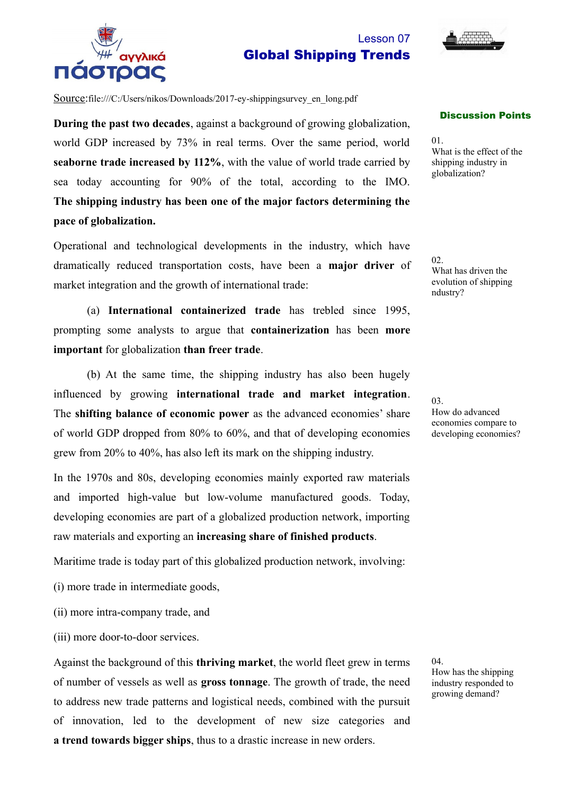

## Lesson 07 Global Shipping Trends



Source:file:///C:/Users/nikos/Downloads/2017-ey-shippingsurvey\_en\_long.pdf

**During the past two decades**, against a background of growing globalization, world GDP increased by 73% in real terms. Over the same period, world **seaborne trade increased by 112%**, with the value of world trade carried by sea today accounting for 90% of the total, according to the IMO. **The shipping industry has been one of the major factors determining the pace of globalization.**

Operational and technological developments in the industry, which have dramatically reduced transportation costs, have been a **major driver** of market integration and the growth of international trade:

(a) **International containerized trade** has trebled since 1995, prompting some analysts to argue that **containerization** has been **more important** for globalization **than freer trade**.

(b) At the same time, the shipping industry has also been hugely influenced by growing **international trade and market integration**. The **shifting balance of economic power** as the advanced economies' share of world GDP dropped from 80% to 60%, and that of developing economies grew from 20% to 40%, has also left its mark on the shipping industry.

In the 1970s and 80s, developing economies mainly exported raw materials and imported high-value but low-volume manufactured goods. Today, developing economies are part of a globalized production network, importing raw materials and exporting an **increasing share of finished products**.

Maritime trade is today part of this globalized production network, involving:

- (i) more trade in intermediate goods,
- (ii) more intra-company trade, and
- (iii) more door-to-door services.

Against the background of this **thriving market**, the world fleet grew in terms of number of vessels as well as **gross tonnage**. The growth of trade, the need to address new trade patterns and logistical needs, combined with the pursuit of innovation, led to the development of new size categories and **a trend towards bigger ships**, thus to a drastic increase in new orders.

Discussion Points

01. What is the effect of the shipping industry in globalization?

02. What has driven the evolution of shipping ndustry?

03.

How do advanced economies compare to developing economies?

04. How has the shipping industry responded to growing demand?